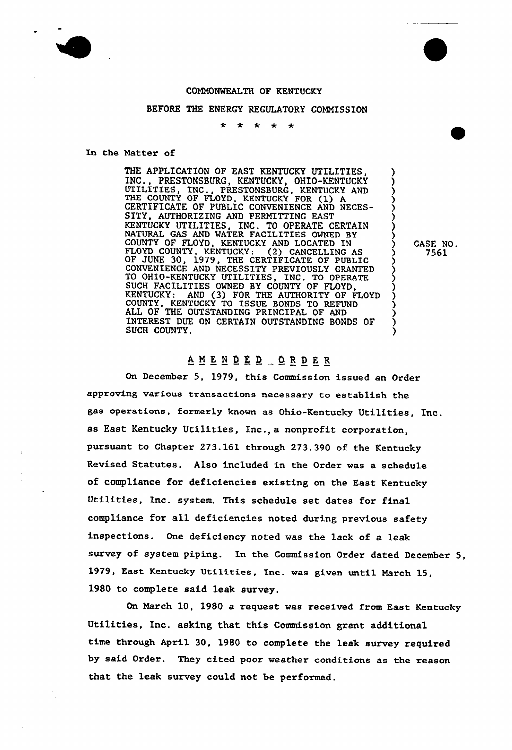



## BEFORE THE ENERGY REGULATORY COMMISSION

 $\ddot{\textbf{r}}$ 

In the Natter of

THE APPLICATION OF EAST KENTUCKY UTILITIES, INC., PRESTONSBURG, KENTUCKY, OHIO-KENTUCKY UTILITIES, INC., PRESTONSBURG, KENTUCKY AND THE COUNTY OF FLOYD, KENTUCKY FOR (1) A CERTIFICATE OF PUBLIC CONVENIENCE AND NECES-SITY, AUTHORIZING AND PERMITTING EAST KENTUCKY UTILITIES, INC. TO OPERATE CERTAIN NATURAL GAS AND WATER FACILITIES OWNED BY COUNTY OF FLOYD, KENTUCKY AND LOCATED IN FLOYD COUNTY, KENTUCKY: (2) CANCELLING AS OF JUNE 30, 1979, THE CERTIFICATE OF PUBLIC CONVENIENCE AND NECESSITY PREVIOUSLY GRANTEI TO OHIO-KENTUCKY UTILITIES, INC. TO OPERATE SUCH FACILITIES OWNED BY COUNTY OF FLOYD, KENTUCKY: AND (3) FOR THE AUTHORITY OF FLOYD COUNTY, KENTUCKY TO ISSUE BONDS TO REFUNI ALL OF THE OUTSTANDING PRINCIPAL OF AND INTEREST DUE ON CERTAIN OUTSTANDING BONDS OF SUCH COUNTY.

) CASE NO. ) 7561

) ) ) ز<br>>  $\mathbf{\hat{y}}$ ) ) )

> ز<br>} )<br>>  $\dot{\wr}$ ) ) ز<br>>  $\check{\Omega}$ ) )

## AMENDED ORDER

On December 5, 1979, this Commissian issued an Order approving various transactions necessary to establish the gas operations, formerly known as Ohio-Kentucky Utilities, Inc. as East Kentucky Utilities, Inc., a nonprofit corporation, pursuant to Chapter 273.161 through 273.390 of the Kentucky Revised Statutes. Also included in the Order was a schedule of compliance for deficiencies existing on the East Kentucky Utilities, Inc. system. This schedule set dates for final compliance for all deficiencies noted during previous safety inspections. One deficiency noted was the lack of a leak survey of system piping. In the Commission Order dated December 5, 1979, East Kentucky Utilities, Inc. was given until March 15, 1980 to complete said leak survey.

On March 10, 1980 a request was received from East Kentucky Utilities, Inc. asking that this Commission grant additional time thxough April 30, 1980 to complete the leak survey required by said Order. They cited poor weather conditions as the reason that the leak survey could not be performed.